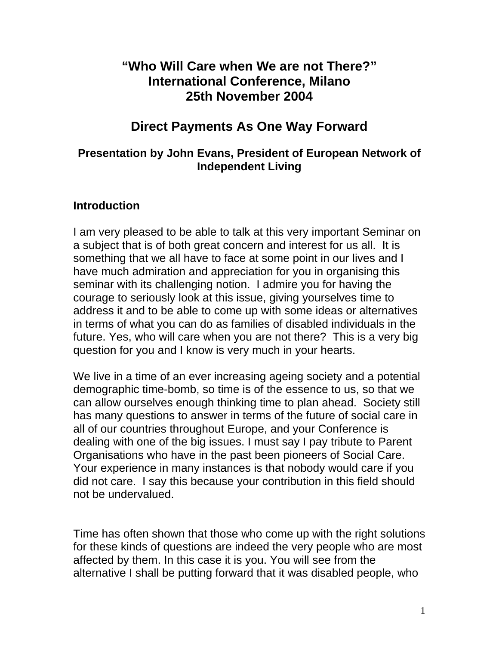# **"Who Will Care when We are not There?" International Conference, Milano 25th November 2004**

# **Direct Payments As One Way Forward**

#### **Presentation by John Evans, President of European Network of Independent Living**

#### **Introduction**

I am very pleased to be able to talk at this very important Seminar on a subject that is of both great concern and interest for us all. It is something that we all have to face at some point in our lives and I have much admiration and appreciation for you in organising this seminar with its challenging notion. I admire you for having the courage to seriously look at this issue, giving yourselves time to address it and to be able to come up with some ideas or alternatives in terms of what you can do as families of disabled individuals in the future. Yes, who will care when you are not there? This is a very big question for you and I know is very much in your hearts.

We live in a time of an ever increasing ageing society and a potential demographic time-bomb, so time is of the essence to us, so that we can allow ourselves enough thinking time to plan ahead. Society still has many questions to answer in terms of the future of social care in all of our countries throughout Europe, and your Conference is dealing with one of the big issues. I must say I pay tribute to Parent Organisations who have in the past been pioneers of Social Care. Your experience in many instances is that nobody would care if you did not care. I say this because your contribution in this field should not be undervalued.

Time has often shown that those who come up with the right solutions for these kinds of questions are indeed the very people who are most affected by them. In this case it is you. You will see from the alternative I shall be putting forward that it was disabled people, who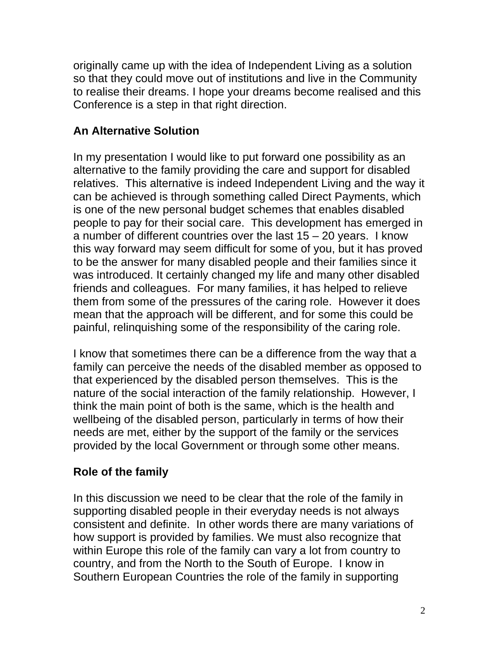originally came up with the idea of Independent Living as a solution so that they could move out of institutions and live in the Community to realise their dreams. I hope your dreams become realised and this Conference is a step in that right direction.

# **An Alternative Solution**

In my presentation I would like to put forward one possibility as an alternative to the family providing the care and support for disabled relatives. This alternative is indeed Independent Living and the way it can be achieved is through something called Direct Payments, which is one of the new personal budget schemes that enables disabled people to pay for their social care. This development has emerged in a number of different countries over the last 15 – 20 years. I know this way forward may seem difficult for some of you, but it has proved to be the answer for many disabled people and their families since it was introduced. It certainly changed my life and many other disabled friends and colleagues. For many families, it has helped to relieve them from some of the pressures of the caring role. However it does mean that the approach will be different, and for some this could be painful, relinquishing some of the responsibility of the caring role.

I know that sometimes there can be a difference from the way that a family can perceive the needs of the disabled member as opposed to that experienced by the disabled person themselves. This is the nature of the social interaction of the family relationship. However, I think the main point of both is the same, which is the health and wellbeing of the disabled person, particularly in terms of how their needs are met, either by the support of the family or the services provided by the local Government or through some other means.

## **Role of the family**

In this discussion we need to be clear that the role of the family in supporting disabled people in their everyday needs is not always consistent and definite. In other words there are many variations of how support is provided by families. We must also recognize that within Europe this role of the family can vary a lot from country to country, and from the North to the South of Europe. I know in Southern European Countries the role of the family in supporting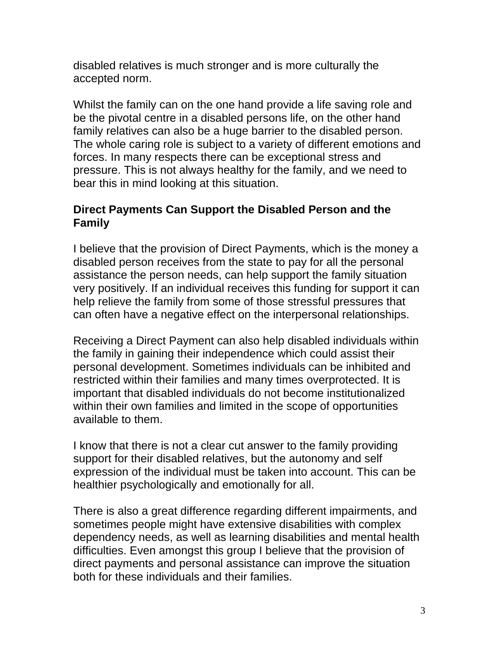disabled relatives is much stronger and is more culturally the accepted norm.

Whilst the family can on the one hand provide a life saving role and be the pivotal centre in a disabled persons life, on the other hand family relatives can also be a huge barrier to the disabled person. The whole caring role is subject to a variety of different emotions and forces. In many respects there can be exceptional stress and pressure. This is not always healthy for the family, and we need to bear this in mind looking at this situation.

### **Direct Payments Can Support the Disabled Person and the Family**

I believe that the provision of Direct Payments, which is the money a disabled person receives from the state to pay for all the personal assistance the person needs, can help support the family situation very positively. If an individual receives this funding for support it can help relieve the family from some of those stressful pressures that can often have a negative effect on the interpersonal relationships.

Receiving a Direct Payment can also help disabled individuals within the family in gaining their independence which could assist their personal development. Sometimes individuals can be inhibited and restricted within their families and many times overprotected. It is important that disabled individuals do not become institutionalized within their own families and limited in the scope of opportunities available to them.

I know that there is not a clear cut answer to the family providing support for their disabled relatives, but the autonomy and self expression of the individual must be taken into account. This can be healthier psychologically and emotionally for all.

There is also a great difference regarding different impairments, and sometimes people might have extensive disabilities with complex dependency needs, as well as learning disabilities and mental health difficulties. Even amongst this group I believe that the provision of direct payments and personal assistance can improve the situation both for these individuals and their families.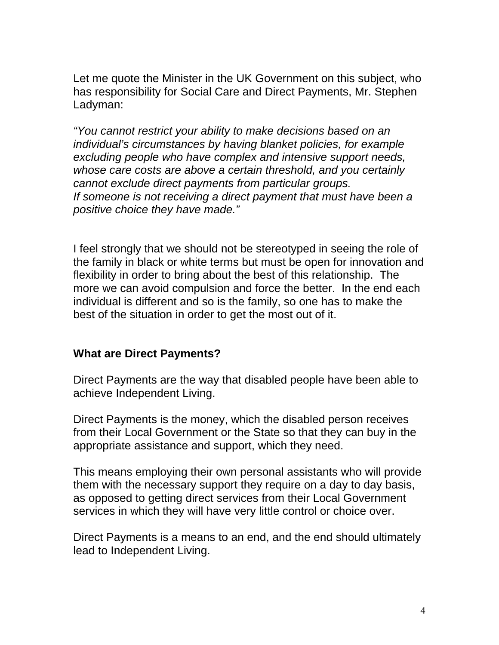Let me quote the Minister in the UK Government on this subject, who has responsibility for Social Care and Direct Payments, Mr. Stephen Ladyman:

*"You cannot restrict your ability to make decisions based on an individual's circumstances by having blanket policies, for example excluding people who have complex and intensive support needs, whose care costs are above a certain threshold, and you certainly cannot exclude direct payments from particular groups. If someone is not receiving a direct payment that must have been a positive choice they have made."* 

I feel strongly that we should not be stereotyped in seeing the role of the family in black or white terms but must be open for innovation and flexibility in order to bring about the best of this relationship. The more we can avoid compulsion and force the better. In the end each individual is different and so is the family, so one has to make the best of the situation in order to get the most out of it.

#### **What are Direct Payments?**

Direct Payments are the way that disabled people have been able to achieve Independent Living.

Direct Payments is the money, which the disabled person receives from their Local Government or the State so that they can buy in the appropriate assistance and support, which they need.

This means employing their own personal assistants who will provide them with the necessary support they require on a day to day basis, as opposed to getting direct services from their Local Government services in which they will have very little control or choice over.

Direct Payments is a means to an end, and the end should ultimately lead to Independent Living.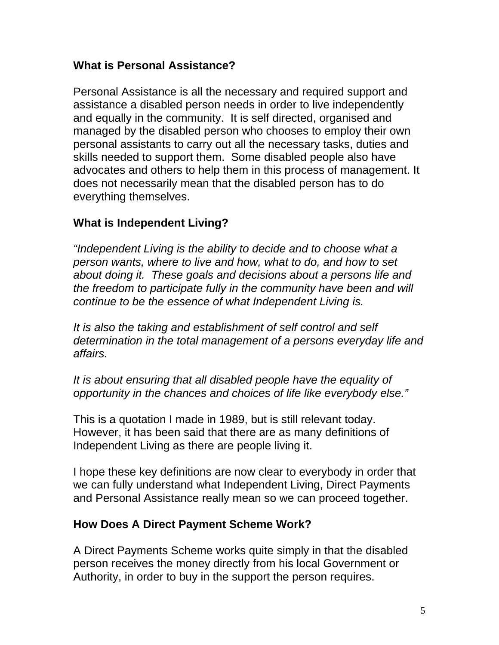#### **What is Personal Assistance?**

Personal Assistance is all the necessary and required support and assistance a disabled person needs in order to live independently and equally in the community. It is self directed, organised and managed by the disabled person who chooses to employ their own personal assistants to carry out all the necessary tasks, duties and skills needed to support them. Some disabled people also have advocates and others to help them in this process of management. It does not necessarily mean that the disabled person has to do everything themselves.

### **What is Independent Living?**

*"Independent Living is the ability to decide and to choose what a person wants, where to live and how, what to do, and how to set about doing it. These goals and decisions about a persons life and the freedom to participate fully in the community have been and will continue to be the essence of what Independent Living is.* 

*It is also the taking and establishment of self control and self determination in the total management of a persons everyday life and affairs.* 

*It is about ensuring that all disabled people have the equality of opportunity in the chances and choices of life like everybody else."*

This is a quotation I made in 1989, but is still relevant today. However, it has been said that there are as many definitions of Independent Living as there are people living it.

I hope these key definitions are now clear to everybody in order that we can fully understand what Independent Living, Direct Payments and Personal Assistance really mean so we can proceed together.

#### **How Does A Direct Payment Scheme Work?**

A Direct Payments Scheme works quite simply in that the disabled person receives the money directly from his local Government or Authority, in order to buy in the support the person requires.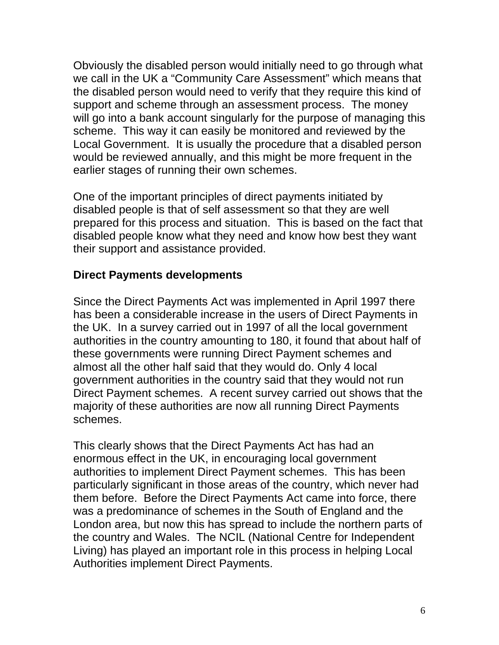Obviously the disabled person would initially need to go through what we call in the UK a "Community Care Assessment" which means that the disabled person would need to verify that they require this kind of support and scheme through an assessment process. The money will go into a bank account singularly for the purpose of managing this scheme. This way it can easily be monitored and reviewed by the Local Government. It is usually the procedure that a disabled person would be reviewed annually, and this might be more frequent in the earlier stages of running their own schemes.

One of the important principles of direct payments initiated by disabled people is that of self assessment so that they are well prepared for this process and situation. This is based on the fact that disabled people know what they need and know how best they want their support and assistance provided.

#### **Direct Payments developments**

Since the Direct Payments Act was implemented in April 1997 there has been a considerable increase in the users of Direct Payments in the UK. In a survey carried out in 1997 of all the local government authorities in the country amounting to 180, it found that about half of these governments were running Direct Payment schemes and almost all the other half said that they would do. Only 4 local government authorities in the country said that they would not run Direct Payment schemes. A recent survey carried out shows that the majority of these authorities are now all running Direct Payments schemes.

This clearly shows that the Direct Payments Act has had an enormous effect in the UK, in encouraging local government authorities to implement Direct Payment schemes. This has been particularly significant in those areas of the country, which never had them before. Before the Direct Payments Act came into force, there was a predominance of schemes in the South of England and the London area, but now this has spread to include the northern parts of the country and Wales. The NCIL (National Centre for Independent Living) has played an important role in this process in helping Local Authorities implement Direct Payments.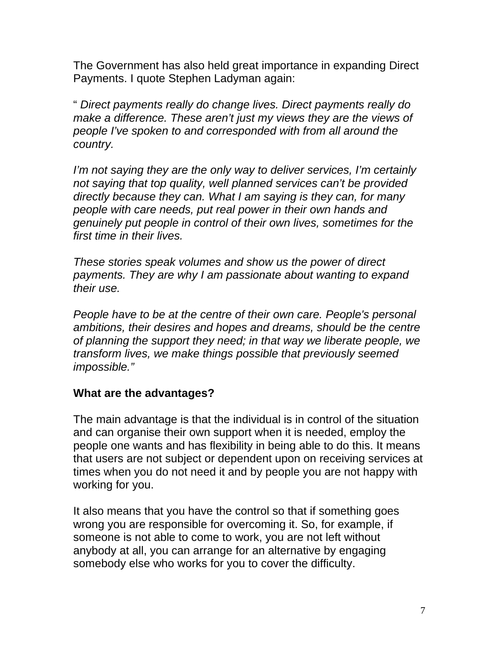The Government has also held great importance in expanding Direct Payments. I quote Stephen Ladyman again:

" *Direct payments really do change lives. Direct payments really do make a difference. These aren't just my views they are the views of people I've spoken to and corresponded with from all around the country.* 

*I'm not saying they are the only way to deliver services, I'm certainly not saying that top quality, well planned services can't be provided directly because they can. What I am saying is they can, for many people with care needs, put real power in their own hands and genuinely put people in control of their own lives, sometimes for the first time in their lives.* 

*These stories speak volumes and show us the power of direct payments. They are why I am passionate about wanting to expand their use.* 

*People have to be at the centre of their own care. People's personal ambitions, their desires and hopes and dreams, should be the centre of planning the support they need; in that way we liberate people, we transform lives, we make things possible that previously seemed impossible."* 

#### **What are the advantages?**

The main advantage is that the individual is in control of the situation and can organise their own support when it is needed, employ the people one wants and has flexibility in being able to do this. It means that users are not subject or dependent upon on receiving services at times when you do not need it and by people you are not happy with working for you.

It also means that you have the control so that if something goes wrong you are responsible for overcoming it. So, for example, if someone is not able to come to work, you are not left without anybody at all, you can arrange for an alternative by engaging somebody else who works for you to cover the difficulty.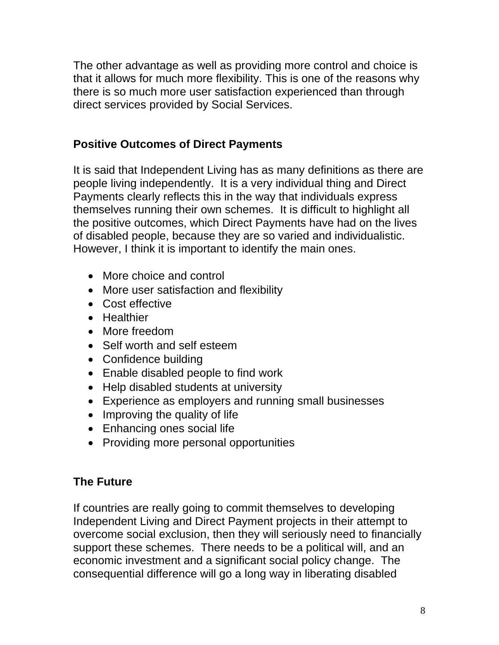The other advantage as well as providing more control and choice is that it allows for much more flexibility. This is one of the reasons why there is so much more user satisfaction experienced than through direct services provided by Social Services.

### **Positive Outcomes of Direct Payments**

It is said that Independent Living has as many definitions as there are people living independently. It is a very individual thing and Direct Payments clearly reflects this in the way that individuals express themselves running their own schemes. It is difficult to highlight all the positive outcomes, which Direct Payments have had on the lives of disabled people, because they are so varied and individualistic. However, I think it is important to identify the main ones.

- More choice and control
- More user satisfaction and flexibility
- Cost effective
- Healthier
- More freedom
- Self worth and self esteem
- Confidence building
- Enable disabled people to find work
- Help disabled students at university
- Experience as employers and running small businesses
- Improving the quality of life
- Enhancing ones social life
- Providing more personal opportunities

#### **The Future**

If countries are really going to commit themselves to developing Independent Living and Direct Payment projects in their attempt to overcome social exclusion, then they will seriously need to financially support these schemes. There needs to be a political will, and an economic investment and a significant social policy change. The consequential difference will go a long way in liberating disabled